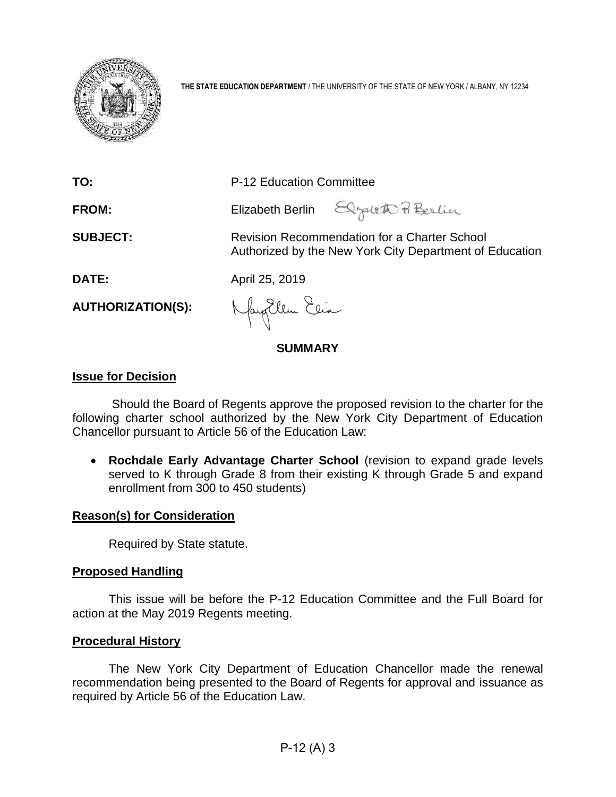

**THE STATE EDUCATION DEPARTMENT** / THE UNIVERSITY OF THE STATE OF NEW YORK / ALBANY, NY 12234

| TO:                      | P-12 Education Committee                                                                                |  |  |  |  |  |
|--------------------------|---------------------------------------------------------------------------------------------------------|--|--|--|--|--|
| <b>FROM:</b>             | Elizabeth Berlin Elgaleth Pi Berlin                                                                     |  |  |  |  |  |
| <b>SUBJECT:</b>          | Revision Recommendation for a Charter School<br>Authorized by the New York City Department of Education |  |  |  |  |  |
| DATE:                    | April 25, 2019                                                                                          |  |  |  |  |  |
| <b>AUTHORIZATION(S):</b> | Naytlem Esia                                                                                            |  |  |  |  |  |
| <b>SUMMARY</b>           |                                                                                                         |  |  |  |  |  |

## **Issue for Decision**

Should the Board of Regents approve the proposed revision to the charter for the following charter school authorized by the New York City Department of Education Chancellor pursuant to Article 56 of the Education Law:

• **Rochdale Early Advantage Charter School** (revision to expand grade levels served to K through Grade 8 from their existing K through Grade 5 and expand enrollment from 300 to 450 students)

## **Reason(s) for Consideration**

Required by State statute.

# **Proposed Handling**

This issue will be before the P-12 Education Committee and the Full Board for action at the May 2019 Regents meeting.

## **Procedural History**

The New York City Department of Education Chancellor made the renewal recommendation being presented to the Board of Regents for approval and issuance as required by Article 56 of the Education Law.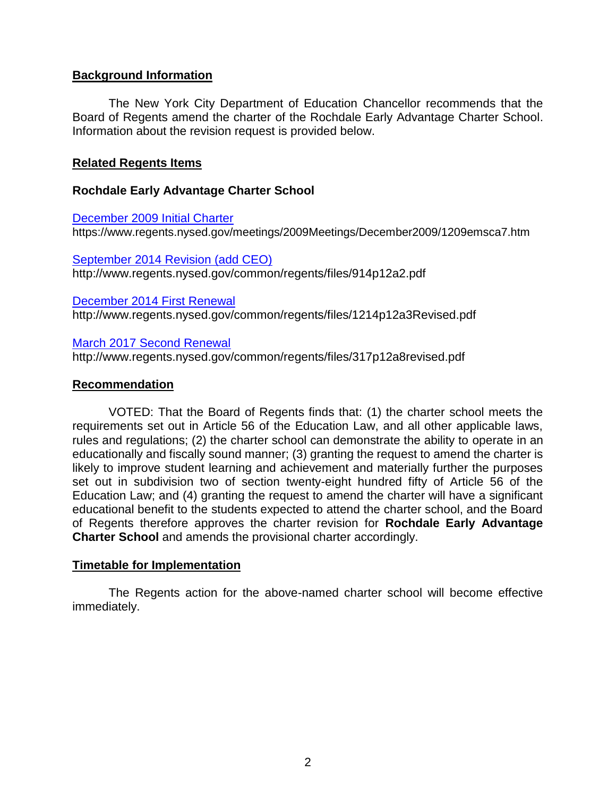# **Background Information**

The New York City Department of Education Chancellor recommends that the Board of Regents amend the charter of the Rochdale Early Advantage Charter School. Information about the revision request is provided below.

## **Related Regents Items**

## **Rochdale Early Advantage Charter School**

[December 2009 Initial Charter](https://www.regents.nysed.gov/meetings/2009Meetings/December2009/1209emsca7.htm) https://www.regents.nysed.gov/meetings/2009Meetings/December2009/1209emsca7.htm

[September 2014 Revision \(add CEO\)](http://www.regents.nysed.gov/common/regents/files/914p12a2.pdf) http://www.regents.nysed.gov/common/regents/files/914p12a2.pdf

[December 2014 First Renewal](http://www.regents.nysed.gov/common/regents/files/1214p12a3Revised.pdf) http://www.regents.nysed.gov/common/regents/files/1214p12a3Revised.pdf

[March 2017 Second Renewal](http://www.regents.nysed.gov/common/regents/files/317p12a8revised.pdf) http://www.regents.nysed.gov/common/regents/files/317p12a8revised.pdf

## **Recommendation**

VOTED: That the Board of Regents finds that: (1) the charter school meets the requirements set out in Article 56 of the Education Law, and all other applicable laws, rules and regulations; (2) the charter school can demonstrate the ability to operate in an educationally and fiscally sound manner; (3) granting the request to amend the charter is likely to improve student learning and achievement and materially further the purposes set out in subdivision two of section twenty-eight hundred fifty of Article 56 of the Education Law; and (4) granting the request to amend the charter will have a significant educational benefit to the students expected to attend the charter school, and the Board of Regents therefore approves the charter revision for **Rochdale Early Advantage Charter School** and amends the provisional charter accordingly.

## **Timetable for Implementation**

The Regents action for the above-named charter school will become effective immediately.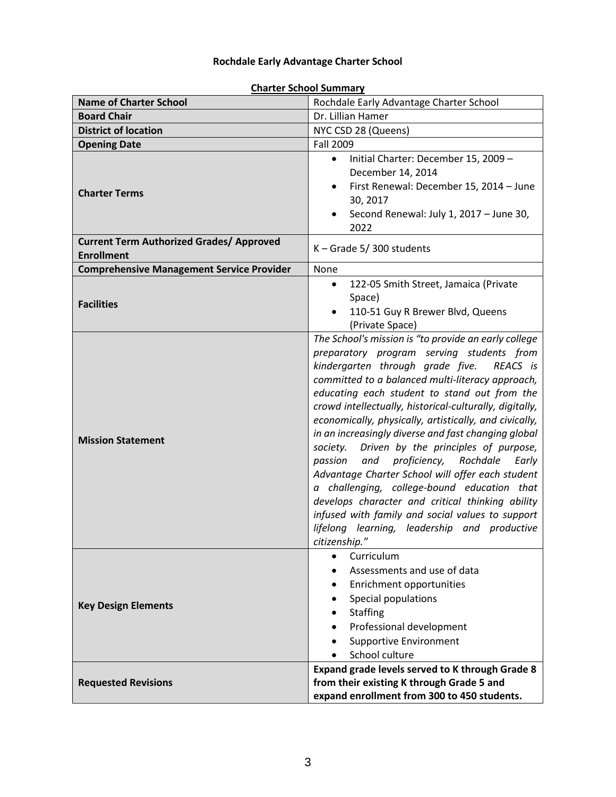# **Rochdale Early Advantage Charter School**

| <b>Name of Charter School</b>                                        | Rochdale Early Advantage Charter School                                                                                                                                                                                                                                                                                                                                                                                                                                                                                                                                                                                                                                                                                                                                                                            |
|----------------------------------------------------------------------|--------------------------------------------------------------------------------------------------------------------------------------------------------------------------------------------------------------------------------------------------------------------------------------------------------------------------------------------------------------------------------------------------------------------------------------------------------------------------------------------------------------------------------------------------------------------------------------------------------------------------------------------------------------------------------------------------------------------------------------------------------------------------------------------------------------------|
| <b>Board Chair</b>                                                   | Dr. Lillian Hamer                                                                                                                                                                                                                                                                                                                                                                                                                                                                                                                                                                                                                                                                                                                                                                                                  |
| <b>District of location</b>                                          | NYC CSD 28 (Queens)                                                                                                                                                                                                                                                                                                                                                                                                                                                                                                                                                                                                                                                                                                                                                                                                |
| <b>Opening Date</b>                                                  | Fall 2009                                                                                                                                                                                                                                                                                                                                                                                                                                                                                                                                                                                                                                                                                                                                                                                                          |
| <b>Charter Terms</b>                                                 | Initial Charter: December 15, 2009 -<br>$\bullet$<br>December 14, 2014<br>First Renewal: December 15, 2014 - June<br>$\bullet$<br>30, 2017<br>Second Renewal: July 1, 2017 - June 30,<br>2022                                                                                                                                                                                                                                                                                                                                                                                                                                                                                                                                                                                                                      |
| <b>Current Term Authorized Grades/ Approved</b><br><b>Enrollment</b> | K - Grade 5/300 students                                                                                                                                                                                                                                                                                                                                                                                                                                                                                                                                                                                                                                                                                                                                                                                           |
| <b>Comprehensive Management Service Provider</b>                     | None                                                                                                                                                                                                                                                                                                                                                                                                                                                                                                                                                                                                                                                                                                                                                                                                               |
| <b>Facilities</b>                                                    | 122-05 Smith Street, Jamaica (Private<br>$\bullet$<br>Space)<br>110-51 Guy R Brewer Blvd, Queens<br>$\bullet$<br>(Private Space)                                                                                                                                                                                                                                                                                                                                                                                                                                                                                                                                                                                                                                                                                   |
| <b>Mission Statement</b>                                             | The School's mission is "to provide an early college<br>preparatory program serving students from<br>kindergarten through grade five.<br>REACS is<br>committed to a balanced multi-literacy approach,<br>educating each student to stand out from the<br>crowd intellectually, historical-culturally, digitally,<br>economically, physically, artistically, and civically,<br>in an increasingly diverse and fast changing global<br>society. Driven by the principles of purpose,<br>proficiency, Rochdale<br>passion<br>and<br>Early<br>Advantage Charter School will offer each student<br>a challenging, college-bound education that<br>develops character and critical thinking ability<br>infused with family and social values to support<br>lifelong learning, leadership and productive<br>citizenship." |
| <b>Key Design Elements</b>                                           | Curriculum<br>$\bullet$<br>Assessments and use of data<br>Enrichment opportunities<br>$\bullet$<br>Special populations<br><b>Staffing</b><br>Professional development<br><b>Supportive Environment</b><br>School culture                                                                                                                                                                                                                                                                                                                                                                                                                                                                                                                                                                                           |
| <b>Requested Revisions</b>                                           | Expand grade levels served to K through Grade 8<br>from their existing K through Grade 5 and<br>expand enrollment from 300 to 450 students.                                                                                                                                                                                                                                                                                                                                                                                                                                                                                                                                                                                                                                                                        |

#### **Charter School Summary**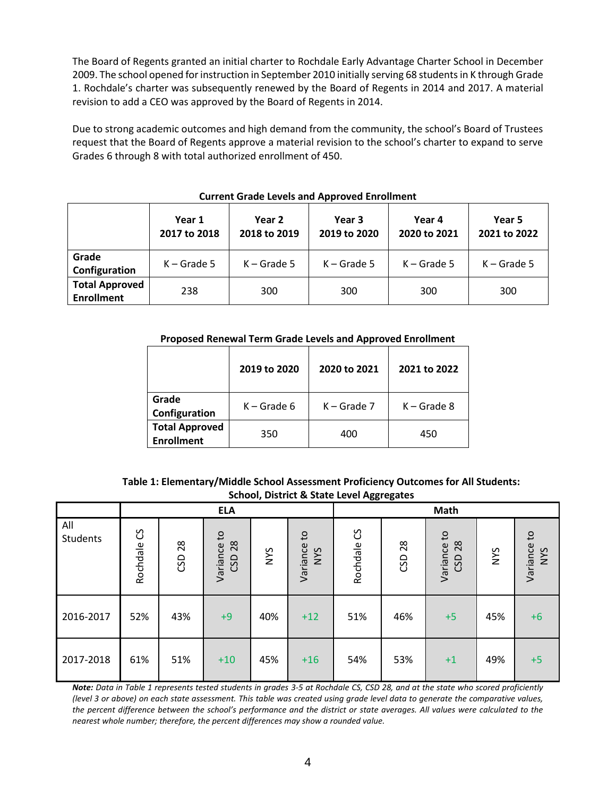The Board of Regents granted an initial charter to Rochdale Early Advantage Charter School in December 2009. The school opened for instruction in September 2010 initially serving 68 students in K through Grade 1. Rochdale's charter was subsequently renewed by the Board of Regents in 2014 and 2017. A material revision to add a CEO was approved by the Board of Regents in 2014.

Due to strong academic outcomes and high demand from the community, the school's Board of Trustees request that the Board of Regents approve a material revision to the school's charter to expand to serve Grades 6 through 8 with total authorized enrollment of 450.

|                                            | Year 1<br>2017 to 2018 | Year 2<br>2018 to 2019 | Year 3<br>2019 to 2020 | Year 4<br>2020 to 2021 | Year 5<br>2021 to 2022 |
|--------------------------------------------|------------------------|------------------------|------------------------|------------------------|------------------------|
| Grade<br>Configuration                     | $K -$ Grade 5          | $K -$ Grade 5          | $K -$ Grade 5          | $K -$ Grade 5          | $K -$ Grade 5          |
| <b>Total Approved</b><br><b>Enrollment</b> | 238                    | 300                    | 300                    | 300                    | 300                    |

#### **Current Grade Levels and Approved Enrollment**

#### **Proposed Renewal Term Grade Levels and Approved Enrollment**

|                                            | 2019 to 2020  | 2020 to 2021  | 2021 to 2022  |
|--------------------------------------------|---------------|---------------|---------------|
| Grade<br>Configuration                     | $K -$ Grade 6 | $K -$ Grade 7 | $K -$ Grade 8 |
| <b>Total Approved</b><br><b>Enrollment</b> | 350           | 400           | 450           |

| Table 1: Elementary/Middle School Assessment Proficiency Outcomes for All Students: |
|-------------------------------------------------------------------------------------|
| <b>School, District &amp; State Level Aggregates</b>                                |

|                 | <b>ELA</b>    |           |                          |     |                                 |                 | <b>Math</b> |                                       |            |                                        |
|-----------------|---------------|-----------|--------------------------|-----|---------------------------------|-----------------|-------------|---------------------------------------|------------|----------------------------------------|
| All<br>Students | უ<br>Rochdale | 28<br>CSD | Variance to<br>28<br>CSD | NYS | $\mathsf{c}$<br>Variance<br>NYS | ပ္ပ<br>Rochdale | CSD 28      | $\mathsf{c}$<br>28<br>Variance<br>CSD | <b>SAN</b> | $\mathbf{c}$<br>Variance<br><b>SAN</b> |
| 2016-2017       | 52%           | 43%       | $+9$                     | 40% | $+12$                           | 51%             | 46%         | $+5$                                  | 45%        | $+6$                                   |
| 2017-2018       | 61%           | 51%       | $+10$                    | 45% | $+16$                           | 54%             | 53%         | $+1$                                  | 49%        | $+5$                                   |

*Note: Data in Table 1 represents tested students in grades 3-5 at Rochdale CS, CSD 28, and at the state who scored proficiently (level 3 or above) on each state assessment. This table was created using grade level data to generate the comparative values, the percent difference between the school's performance and the district or state averages. All values were calculated to the nearest whole number; therefore, the percent differences may show a rounded value.*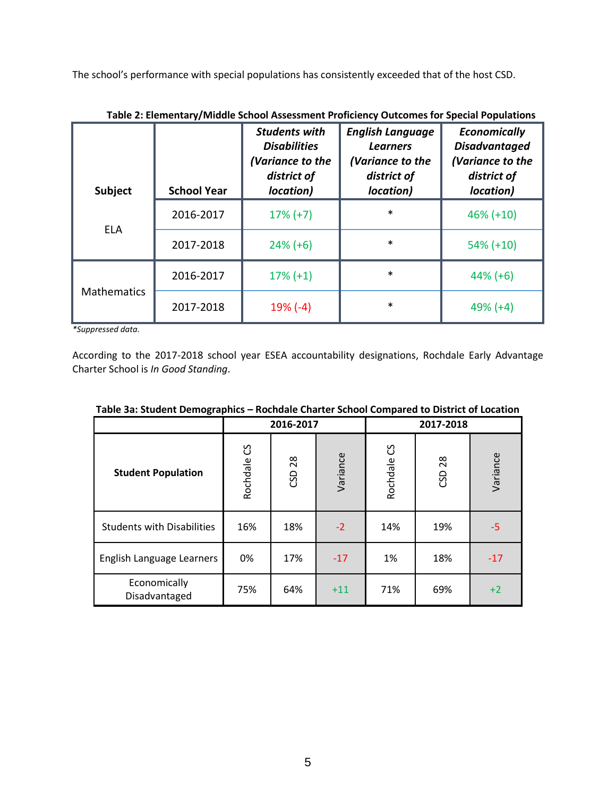The school's performance with special populations has consistently exceeded that of the host CSD.

| Subject            | <b>School Year</b> | <b>Students with</b><br><b>Disabilities</b><br>(Variance to the<br>district of<br>location) | <b>English Language</b><br><b>Learners</b><br>(Variance to the<br>district of<br>location) | <b>Economically</b><br><b>Disadvantaged</b><br>(Variance to the<br>district of<br>location) |
|--------------------|--------------------|---------------------------------------------------------------------------------------------|--------------------------------------------------------------------------------------------|---------------------------------------------------------------------------------------------|
| <b>ELA</b>         | 2016-2017          | $17\% (+7)$                                                                                 | $\ast$                                                                                     | $46\% (+10)$                                                                                |
|                    | 2017-2018          | $24\% (+6)$                                                                                 | $\ast$                                                                                     | $54\% (+10)$                                                                                |
|                    | 2016-2017          | $17\% (+1)$                                                                                 | $\ast$                                                                                     | $44\% (+6)$                                                                                 |
| <b>Mathematics</b> | 2017-2018          | $19% (-4)$                                                                                  | $\ast$                                                                                     | $49% (+4)$                                                                                  |

**Table 2: Elementary/Middle School Assessment Proficiency Outcomes for Special Populations**

*\*Suppressed data.*

According to the 2017-2018 school year ESEA accountability designations, Rochdale Early Advantage Charter School is *In Good Standing*.

| Table Sa. Student Demographics<br><u>Nuchadie Charter School Compared to District of Eucation</u> |             |           |          |               |        |          |  |
|---------------------------------------------------------------------------------------------------|-------------|-----------|----------|---------------|--------|----------|--|
|                                                                                                   |             | 2016-2017 |          | 2017-2018     |        |          |  |
| <b>Student Population</b>                                                                         | Rochdale CS | CSD 28    | Variance | უ<br>Rochdale | CSD 28 | Variance |  |
| <b>Students with Disabilities</b>                                                                 | 16%         | 18%       | $-2$     | 14%           | 19%    | -5       |  |
| English Language Learners                                                                         | 0%          | 17%       | $-17$    | 1%            | 18%    | $-17$    |  |
| Economically<br>Disadvantaged                                                                     | 75%         | 64%       | $+11$    | 71%           | 69%    | $+2$     |  |